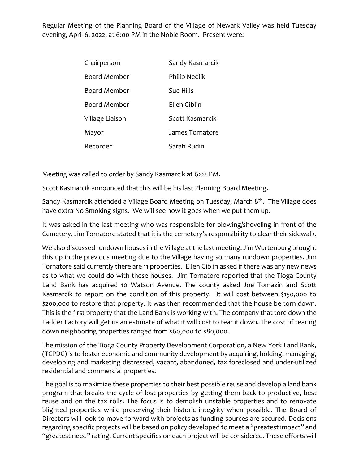Regular Meeting of the Planning Board of the Village of Newark Valley was held Tuesday evening, April 6, 2022, at 6:00 PM in the Noble Room. Present were:

| Chairperson         | Sandy Kasmarcik |
|---------------------|-----------------|
| <b>Board Member</b> | Philip Nedlik   |
| Board Member        | Sue Hills       |
| Board Member        | Ellen Giblin    |
| Village Liaison     | Scott Kasmarcik |
| Mayor               | James Tornatore |
| Recorder            | Sarah Rudin     |

Meeting was called to order by Sandy Kasmarcik at 6:02 PM.

Scott Kasmarcik announced that this will be his last Planning Board Meeting.

Sandy Kasmarcik attended a Village Board Meeting on Tuesday, March 8<sup>th</sup>. The Village does have extra No Smoking signs. We will see how it goes when we put them up.

It was asked in the last meeting who was responsible for plowing/shoveling in front of the Cemetery. Jim Tornatore stated that it is the cemetery's responsibility to clear their sidewalk.

We also discussed rundown houses in the Village at the last meeting. Jim Wurtenburg brought this up in the previous meeting due to the Village having so many rundown properties. Jim Tornatore said currently there are 11 properties. Ellen Giblin asked if there was any new news as to what we could do with these houses. Jim Tornatore reported that the Tioga County Land Bank has acquired 10 Watson Avenue. The county asked Joe Tomazin and Scott Kasmarcik to report on the condition of this property. It will cost between \$150,000 to \$200,000 to restore that property. It was then recommended that the house be torn down. This is the first property that the Land Bank is working with. The company that tore down the Ladder Factory will get us an estimate of what it will cost to tear it down. The cost of tearing down neighboring properties ranged from \$60,000 to \$80,000.

The mission of the Tioga County Property Development Corporation, a New York Land Bank, (TCPDC) is to foster economic and community development by acquiring, holding, managing, developing and marketing distressed, vacant, abandoned, tax foreclosed and under-utilized residential and commercial properties.

The goal is to maximize these properties to their best possible reuse and develop a land bank program that breaks the cycle of lost properties by getting them back to productive, best reuse and on the tax rolls. The focus is to demolish unstable properties and to renovate blighted properties while preserving their historic integrity when possible. The Board of Directors will look to move forward with projects as funding sources are secured. Decisions regarding specific projects will be based on policy developed to meet a "greatest impact" and "greatest need" rating. Current specifics on each project will be considered. These efforts will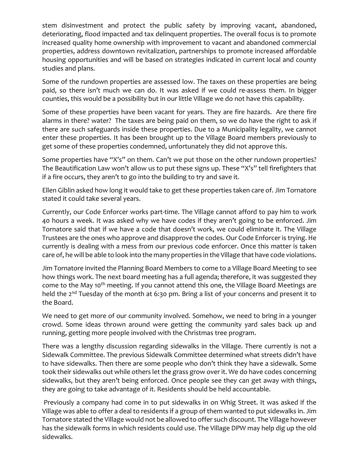stem disinvestment and protect the public safety by improving vacant, abandoned, deteriorating, flood impacted and tax delinquent properties. The overall focus is to promote increased quality home ownership with improvement to vacant and abandoned commercial properties, address downtown revitalization, partnerships to promote increased affordable housing opportunities and will be based on strategies indicated in current local and county studies and plans.

Some of the rundown properties are assessed low. The taxes on these properties are being paid, so there isn't much we can do. It was asked if we could re-assess them. In bigger counties, this would be a possibility but in our little Village we do not have this capability.

Some of these properties have been vacant for years. They are fire hazards. Are there fire alarms in there? water? The taxes are being paid on them, so we do have the right to ask if there are such safeguards inside these properties. Due to a Municipality legality, we cannot enter these properties. It has been brought up to the Village Board members previously to get some of these properties condemned, unfortunately they did not approve this.

Some properties have "X's" on them. Can't we put those on the other rundown properties? The Beautification Law won't allow us to put these signs up. These "X's" tell firefighters that if a fire occurs, they aren't to go into the building to try and save it.

Ellen Giblin asked how long it would take to get these properties taken care of. Jim Tornatore stated it could take several years.

Currently, our Code Enforcer works part-time. The Village cannot afford to pay him to work 40 hours a week. It was asked why we have codes if they aren't going to be enforced. Jim Tornatore said that if we have a code that doesn't work, we could eliminate it. The Village Trustees are the ones who approve and disapprove the codes. Our Code Enforcer is trying. He currently is dealing with a mess from our previous code enforcer. Once this matter is taken care of, he will be able to look into the many properties in the Village that have code violations.

Jim Tornatore invited the Planning Board Members to come to a Village Board Meeting to see how things work. The next board meeting has a full agenda; therefore, it was suggested they come to the May 10<sup>th</sup> meeting. If you cannot attend this one, the Village Board Meetings are held the 2<sup>nd</sup> Tuesday of the month at 6:30 pm. Bring a list of your concerns and present it to the Board.

We need to get more of our community involved. Somehow, we need to bring in a younger crowd. Some ideas thrown around were getting the community yard sales back up and running, getting more people involved with the Christmas tree program.

There was a lengthy discussion regarding sidewalks in the Village. There currently is not a Sidewalk Committee. The previous Sidewalk Committee determined what streets didn't have to have sidewalks. Then there are some people who don't think they have a sidewalk. Some took their sidewalks out while others let the grass grow over it. We do have codes concerning sidewalks, but they aren't being enforced. Once people see they can get away with things, they are going to take advantage of it. Residents should be held accountable.

Previously a company had come in to put sidewalks in on Whig Street. It was asked if the Village was able to offer a deal to residents if a group of them wanted to put sidewalks in. Jim Tornatore stated the Village would not be allowed to offer such discount. The Village however has the sidewalk forms in which residents could use. The Village DPW may help dig up the old sidewalks.